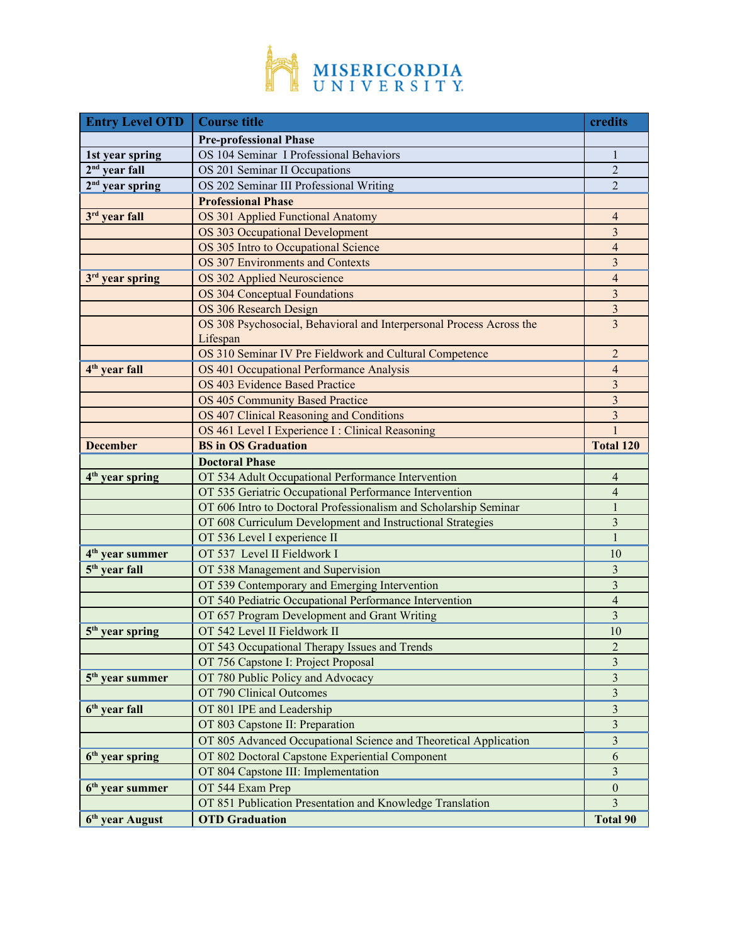

| <b>Entry Level OTD</b>      | <b>Course title</b>                                                  | credits                 |
|-----------------------------|----------------------------------------------------------------------|-------------------------|
|                             | <b>Pre-professional Phase</b>                                        |                         |
| 1st year spring             | OS 104 Seminar I Professional Behaviors                              | 1                       |
| $2nd$ year fall             | OS 201 Seminar II Occupations                                        | $\overline{2}$          |
| $2nd$ year spring           | OS 202 Seminar III Professional Writing                              | $\overline{2}$          |
|                             | <b>Professional Phase</b>                                            |                         |
| 3rd year fall               | OS 301 Applied Functional Anatomy                                    | $\overline{4}$          |
|                             | OS 303 Occupational Development                                      | $\overline{\mathbf{3}}$ |
|                             | OS 305 Intro to Occupational Science                                 | $\overline{4}$          |
|                             | OS 307 Environments and Contexts                                     | 3                       |
| 3 <sup>rd</sup> year spring | OS 302 Applied Neuroscience                                          | $\overline{4}$          |
|                             | OS 304 Conceptual Foundations                                        | 3                       |
|                             | OS 306 Research Design                                               | $\mathfrak{Z}$          |
|                             | OS 308 Psychosocial, Behavioral and Interpersonal Process Across the | $\overline{3}$          |
|                             | Lifespan                                                             |                         |
|                             | OS 310 Seminar IV Pre Fieldwork and Cultural Competence              | $\overline{2}$          |
| 4 <sup>th</sup> year fall   | OS 401 Occupational Performance Analysis                             | $\overline{4}$          |
|                             | OS 403 Evidence Based Practice                                       | $\overline{\mathbf{3}}$ |
|                             | <b>OS 405 Community Based Practice</b>                               | $\overline{\mathbf{3}}$ |
|                             | OS 407 Clinical Reasoning and Conditions                             | $\overline{\mathbf{3}}$ |
|                             | OS 461 Level I Experience I : Clinical Reasoning                     | $\mathbf{1}$            |
| <b>December</b>             | <b>BS</b> in OS Graduation                                           | <b>Total 120</b>        |
|                             | <b>Doctoral Phase</b>                                                |                         |
| $4th$ year spring           | OT 534 Adult Occupational Performance Intervention                   | 4                       |
|                             | OT 535 Geriatric Occupational Performance Intervention               | $\overline{4}$          |
|                             | OT 606 Intro to Doctoral Professionalism and Scholarship Seminar     | 1                       |
|                             | OT 608 Curriculum Development and Instructional Strategies           | 3                       |
|                             | OT 536 Level I experience II                                         | $\mathbf{1}$            |
| 4 <sup>th</sup> year summer | OT 537 Level II Fieldwork I                                          | 10                      |
| 5 <sup>th</sup> year fall   | OT 538 Management and Supervision                                    | 3                       |
|                             | OT 539 Contemporary and Emerging Intervention                        | $\overline{3}$          |
|                             | OT 540 Pediatric Occupational Performance Intervention               | $\overline{4}$          |
|                             | OT 657 Program Development and Grant Writing                         | 3                       |
| 5 <sup>th</sup> year spring | OT 542 Level II Fieldwork II                                         | 10                      |
|                             | OT 543 Occupational Therapy Issues and Trends                        | $\overline{c}$          |
|                             | OT 756 Capstone I: Project Proposal                                  | $\overline{\mathbf{3}}$ |
| 5 <sup>th</sup> year summer | OT 780 Public Policy and Advocacy                                    | $\mathfrak{Z}$          |
|                             | OT 790 Clinical Outcomes                                             | $\overline{\mathbf{3}}$ |
| $6th$ year fall             | OT 801 IPE and Leadership                                            | $\sqrt{3}$              |
|                             | OT 803 Capstone II: Preparation                                      | $\overline{\mathbf{3}}$ |
|                             | OT 805 Advanced Occupational Science and Theoretical Application     | 3                       |
| $6th$ year spring           | OT 802 Doctoral Capstone Experiential Component                      | 6                       |
|                             | OT 804 Capstone III: Implementation                                  | $\overline{\mathbf{3}}$ |
| $6th$ year summer           | OT 544 Exam Prep                                                     | $\boldsymbol{0}$        |
|                             | OT 851 Publication Presentation and Knowledge Translation            | $\overline{3}$          |
| 6 <sup>th</sup> year August | <b>OTD</b> Graduation                                                | <b>Total 90</b>         |